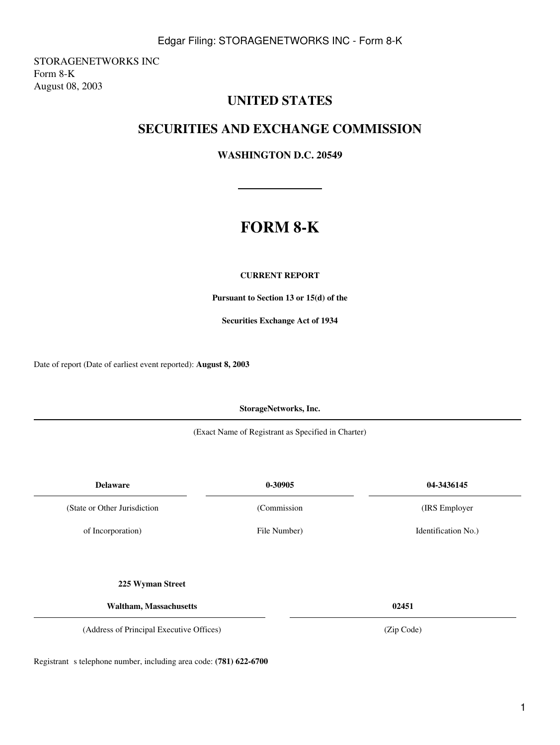1

STORAGENETWORKS INC Form 8-K August 08, 2003

## **UNITED STATES**

## **SECURITIES AND EXCHANGE COMMISSION**

**WASHINGTON D.C. 20549**

# **FORM 8-K**

### **CURRENT REPORT**

**Pursuant to Section 13 or 15(d) of the**

**Securities Exchange Act of 1934**

Date of report (Date of earliest event reported): **August 8, 2003**

**StorageNetworks, Inc.**

(Exact Name of Registrant as Specified in Charter)

| <b>Delaware</b>               | 0-30905      | 04-3436145          |
|-------------------------------|--------------|---------------------|
| (State or Other Jurisdiction) | (Commission  | (IRS Employer)      |
| of Incorporation)             | File Number) | Identification No.) |
|                               |              |                     |
| 225 Wyman Street              |              |                     |

**Waltham, Massachusetts 02451**

(Address of Principal Executive Offices) (Zip Code)

Registrant s telephone number, including area code: (781) 622-6700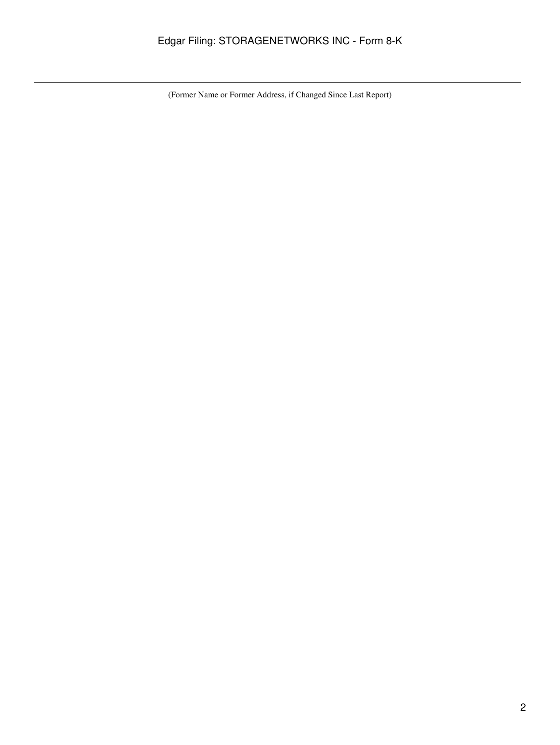## Edgar Filing: STORAGENETWORKS INC - Form 8-K

(Former Name or Former Address, if Changed Since Last Report)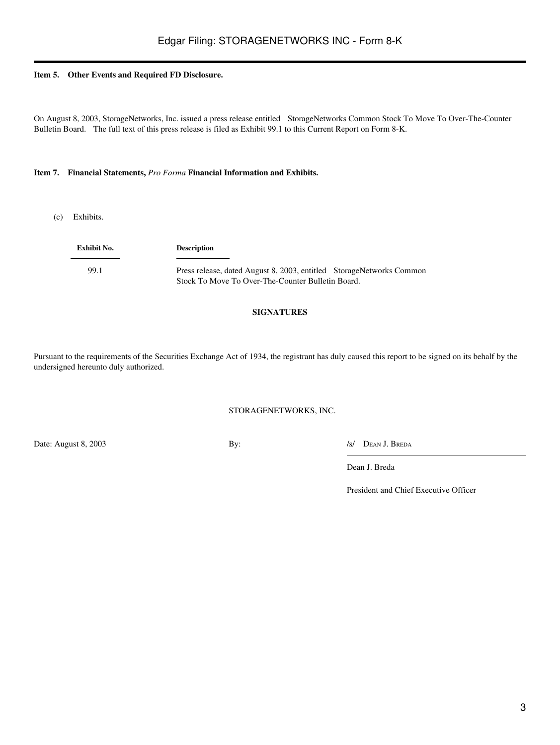#### **Item 5. Other Events and Required FD Disclosure.**

On August 8, 2003, StorageNetworks, Inc. issued a press release entitled StorageNetworks Common Stock To Move To Over-The-Counter Bulletin Board. The full text of this press release is filed as Exhibit 99.1 to this Current Report on Form 8-K.

#### **Item 7. Financial Statements,** *Pro Forma* **Financial Information and Exhibits.**

(c) Exhibits.

**Exhibit No. Description** 99.1 Press release, dated August 8, 2003, entitled StorageNetworks Common Stock To Move To Over-The-Counter Bulletin Board.

#### **SIGNATURES**

Pursuant to the requirements of the Securities Exchange Act of 1934, the registrant has duly caused this report to be signed on its behalf by the undersigned hereunto duly authorized.

#### STORAGENETWORKS, INC.

Date: August 8, 2003 By: *Islam By: By: Islam By: Islam By: Islam By: Islam By: Islam By: Islam By: Islam By: Islam By: Islam By: Islam By: Islam By: Islam By: Islam By: Islam By: Islam By:* 

Dean J. Breda

President and Chief Executive Officer